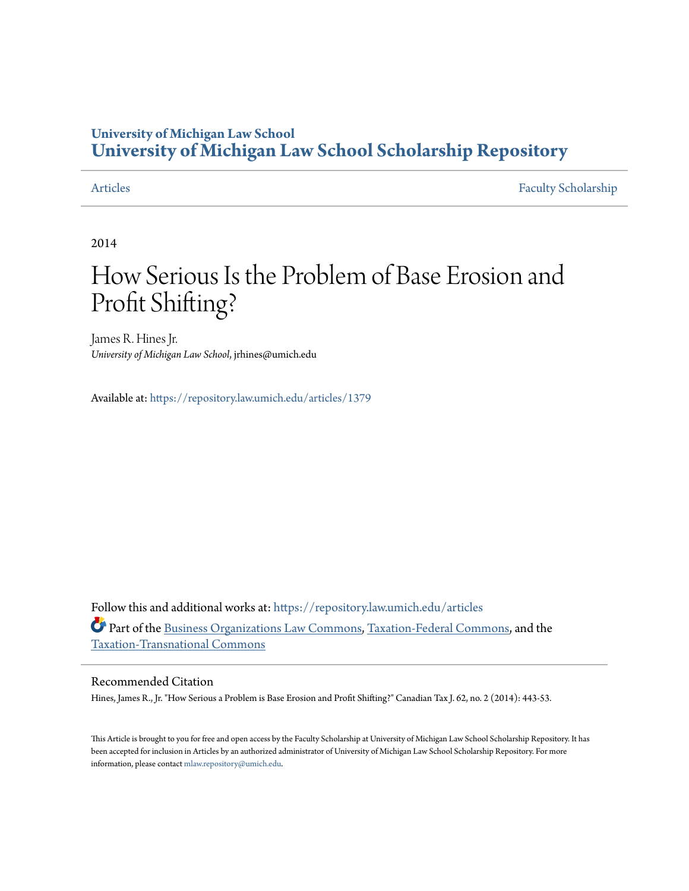## **University of Michigan Law School [University of Michigan Law School Scholarship Repository](https://repository.law.umich.edu?utm_source=repository.law.umich.edu%2Farticles%2F1379&utm_medium=PDF&utm_campaign=PDFCoverPages)**

[Articles](https://repository.law.umich.edu/articles?utm_source=repository.law.umich.edu%2Farticles%2F1379&utm_medium=PDF&utm_campaign=PDFCoverPages) [Faculty Scholarship](https://repository.law.umich.edu/faculty_scholarship?utm_source=repository.law.umich.edu%2Farticles%2F1379&utm_medium=PDF&utm_campaign=PDFCoverPages)

2014

# How Serious Is the Problem of Base Erosion and Profit Shifting?

James R. Hines Jr. *University of Michigan Law School*, jrhines@umich.edu

Available at: <https://repository.law.umich.edu/articles/1379>

Follow this and additional works at: [https://repository.law.umich.edu/articles](https://repository.law.umich.edu/articles?utm_source=repository.law.umich.edu%2Farticles%2F1379&utm_medium=PDF&utm_campaign=PDFCoverPages) Part of the [Business Organizations Law Commons,](http://network.bepress.com/hgg/discipline/900?utm_source=repository.law.umich.edu%2Farticles%2F1379&utm_medium=PDF&utm_campaign=PDFCoverPages) [Taxation-Federal Commons,](http://network.bepress.com/hgg/discipline/881?utm_source=repository.law.umich.edu%2Farticles%2F1379&utm_medium=PDF&utm_campaign=PDFCoverPages) and the [Taxation-Transnational Commons](http://network.bepress.com/hgg/discipline/883?utm_source=repository.law.umich.edu%2Farticles%2F1379&utm_medium=PDF&utm_campaign=PDFCoverPages)

### Recommended Citation

Hines, James R., Jr. "How Serious a Problem is Base Erosion and Profit Shifting?" Canadian Tax J. 62, no. 2 (2014): 443-53.

This Article is brought to you for free and open access by the Faculty Scholarship at University of Michigan Law School Scholarship Repository. It has been accepted for inclusion in Articles by an authorized administrator of University of Michigan Law School Scholarship Repository. For more information, please contact [mlaw.repository@umich.edu.](mailto:mlaw.repository@umich.edu)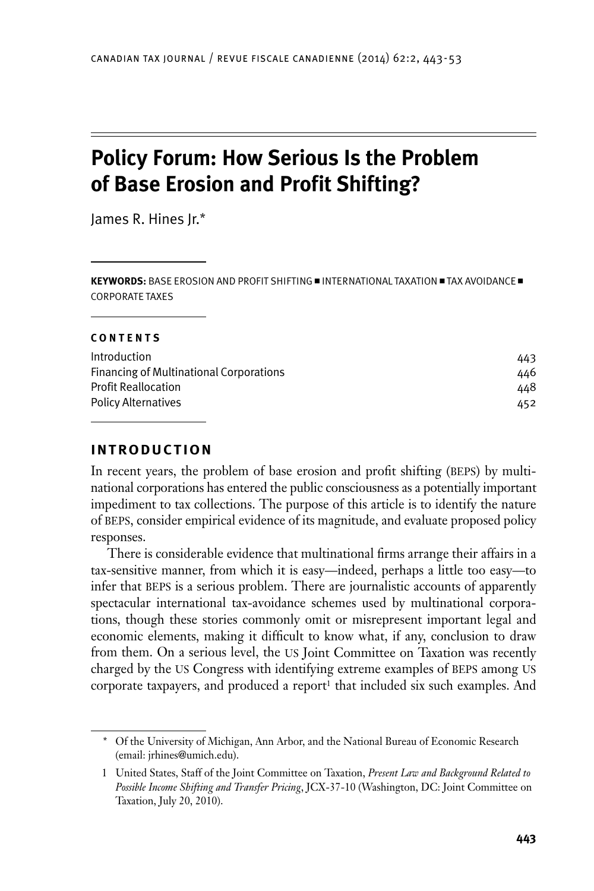# **Policy Forum: How Serious Is the Problem of Base Erosion and Profit Shifting?**

James R. Hines Jr.\*

**KEYWORDS:** BASE EROSION AND PROFIT SHIFTING **=** INTERNATIONAL TAXATION **=** TAX AVOIDANCE **=** corporate taxes

#### **Contents**

| 443 |
|-----|
| 446 |
| 448 |
| 452 |
|     |

#### **Introduction**

In recent years, the problem of base erosion and profit shifting (BEPS) by multinational corporations has entered the public consciousness as a potentially important impediment to tax collections. The purpose of this article is to identify the nature of BEPS, consider empirical evidence of its magnitude, and evaluate proposed policy responses.

There is considerable evidence that multinational firms arrange their affairs in a tax-sensitive manner, from which it is easy—indeed, perhaps a little too easy—to infer that beps is a serious problem. There are journalistic accounts of apparently spectacular international tax-avoidance schemes used by multinational corporations, though these stories commonly omit or misrepresent important legal and economic elements, making it difficult to know what, if any, conclusion to draw from them. On a serious level, the US Joint Committee on Taxation was recently charged by the US Congress with identifying extreme examples of BEPS among US corporate taxpayers, and produced a report<sup>1</sup> that included six such examples. And

<sup>\*</sup> Of the University of Michigan, Ann Arbor, and the National Bureau of Economic Research (email: jrhines@umich.edu).

<sup>1</sup> United States, Staff of the Joint Committee on Taxation, *Present Law and Background Related to Possible Income Shifting and Transfer Pricing*, JCX-37-10 (Washington, DC: Joint Committee on Taxation, July 20, 2010).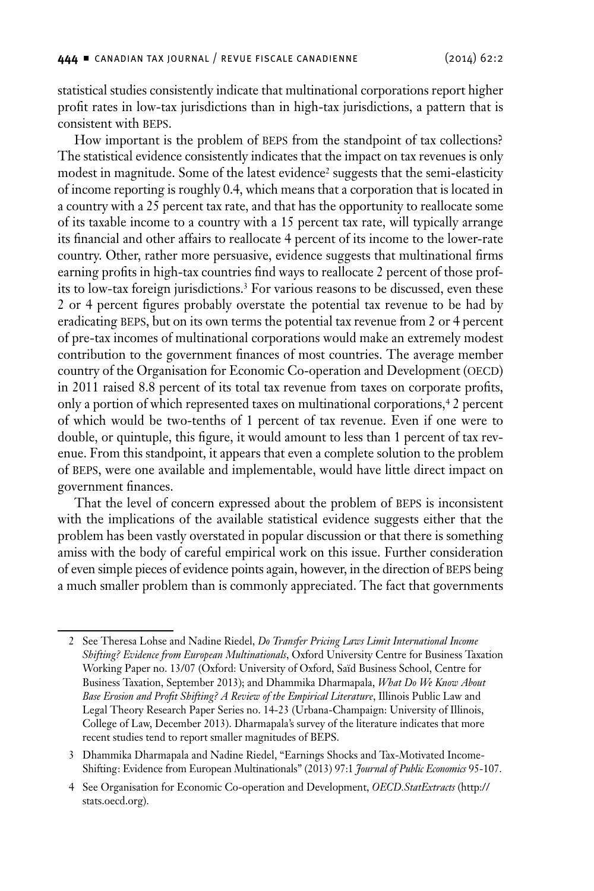statistical studies consistently indicate that multinational corporations report higher profit rates in low-tax jurisdictions than in high-tax jurisdictions, a pattern that is consistent with beps.

How important is the problem of BEPS from the standpoint of tax collections? The statistical evidence consistently indicates that the impact on tax revenues is only modest in magnitude. Some of the latest evidence<sup>2</sup> suggests that the semi-elasticity of income reporting is roughly 0.4, which means that a corporation that is located in a country with a 25 percent tax rate, and that has the opportunity to reallocate some of its taxable income to a country with a 15 percent tax rate, will typically arrange its financial and other affairs to reallocate 4 percent of its income to the lower-rate country. Other, rather more persuasive, evidence suggests that multinational firms earning profits in high-tax countries find ways to reallocate 2 percent of those profits to low-tax foreign jurisdictions.3 For various reasons to be discussed, even these 2 or 4 percent figures probably overstate the potential tax revenue to be had by eradicating BEPS, but on its own terms the potential tax revenue from 2 or 4 percent of pre-tax incomes of multinational corporations would make an extremely modest contribution to the government finances of most countries. The average member country of the Organisation for Economic Co-operation and Development (OECD) in 2011 raised 8.8 percent of its total tax revenue from taxes on corporate profits, only a portion of which represented taxes on multinational corporations,4 2 percent of which would be two-tenths of 1 percent of tax revenue. Even if one were to double, or quintuple, this figure, it would amount to less than 1 percent of tax revenue. From this standpoint, it appears that even a complete solution to the problem of BEPS, were one available and implementable, would have little direct impact on government finances.

That the level of concern expressed about the problem of BEPS is inconsistent with the implications of the available statistical evidence suggests either that the problem has been vastly overstated in popular discussion or that there is something amiss with the body of careful empirical work on this issue. Further consideration of even simple pieces of evidence points again, however, in the direction of BEPS being a much smaller problem than is commonly appreciated. The fact that governments

3 Dhammika Dharmapala and Nadine Riedel, "Earnings Shocks and Tax-Motivated Income-Shifting: Evidence from European Multinationals" (2013) 97:1 *Journal of Public Economics* 95-107.

<sup>2</sup> See Theresa Lohse and Nadine Riedel, *Do Transfer Pricing Laws Limit International Income Shifting? Evidence from European Multinationals*, Oxford University Centre for Business Taxation Working Paper no. 13/07 (Oxford: University of Oxford, Saïd Business School, Centre for Business Taxation, September 2013); and Dhammika Dharmapala, *What Do We Know About Base Erosion and Profit Shifting? A Review of the Empirical Literature*, Illinois Public Law and Legal Theory Research Paper Series no. 14-23 (Urbana-Champaign: University of Illinois, College of Law, December 2013). Dharmapala's survey of the literature indicates that more recent studies tend to report smaller magnitudes of BEPS.

<sup>4</sup> See Organisation for Economic Co-operation and Development, *OECD.StatExtracts* (http:// stats.oecd.org).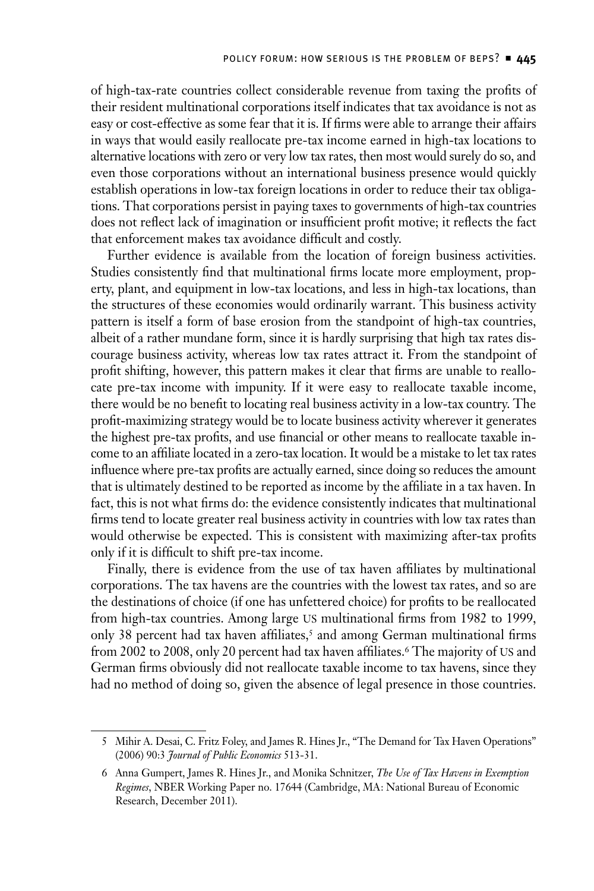of high-tax-rate countries collect considerable revenue from taxing the profits of their resident multinational corporations itself indicates that tax avoidance is not as easy or cost-effective as some fear that it is. If firms were able to arrange their affairs in ways that would easily reallocate pre-tax income earned in high-tax locations to alternative locations with zero or very low tax rates, then most would surely do so, and even those corporations without an international business presence would quickly establish operations in low-tax foreign locations in order to reduce their tax obligations. That corporations persist in paying taxes to governments of high-tax countries does not reflect lack of imagination or insufficient profit motive; it reflects the fact that enforcement makes tax avoidance difficult and costly.

Further evidence is available from the location of foreign business activities. Studies consistently find that multinational firms locate more employment, property, plant, and equipment in low-tax locations, and less in high-tax locations, than the structures of these economies would ordinarily warrant. This business activity pattern is itself a form of base erosion from the standpoint of high-tax countries, albeit of a rather mundane form, since it is hardly surprising that high tax rates discourage business activity, whereas low tax rates attract it. From the standpoint of profit shifting, however, this pattern makes it clear that firms are unable to reallocate pre-tax income with impunity. If it were easy to reallocate taxable income, there would be no benefit to locating real business activity in a low-tax country. The profit-maximizing strategy would be to locate business activity wherever it generates the highest pre-tax profits, and use financial or other means to reallocate taxable income to an affiliate located in a zero-tax location. It would be a mistake to let tax rates influence where pre-tax profits are actually earned, since doing so reduces the amount that is ultimately destined to be reported as income by the affiliate in a tax haven. In fact, this is not what firms do: the evidence consistently indicates that multinational firms tend to locate greater real business activity in countries with low tax rates than would otherwise be expected. This is consistent with maximizing after-tax profits only if it is difficult to shift pre-tax income.

Finally, there is evidence from the use of tax haven affiliates by multinational corporations. The tax havens are the countries with the lowest tax rates, and so are the destinations of choice (if one has unfettered choice) for profits to be reallocated from high-tax countries. Among large US multinational firms from 1982 to 1999, only 38 percent had tax haven affiliates,<sup>5</sup> and among German multinational firms from 2002 to 2008, only 20 percent had tax haven affiliates.<sup>6</sup> The majority of US and German firms obviously did not reallocate taxable income to tax havens, since they had no method of doing so, given the absence of legal presence in those countries.

<sup>5</sup> Mihir A. Desai, C. Fritz Foley, and James R. Hines Jr., "The Demand for Tax Haven Operations" (2006) 90:3 *Journal of Public Economics* 513-31.

<sup>6</sup> Anna Gumpert, James R. Hines Jr., and Monika Schnitzer, *The Use of Tax Havens in Exemption Regimes*, NBER Working Paper no. 17644 (Cambridge, MA: National Bureau of Economic Research, December 2011).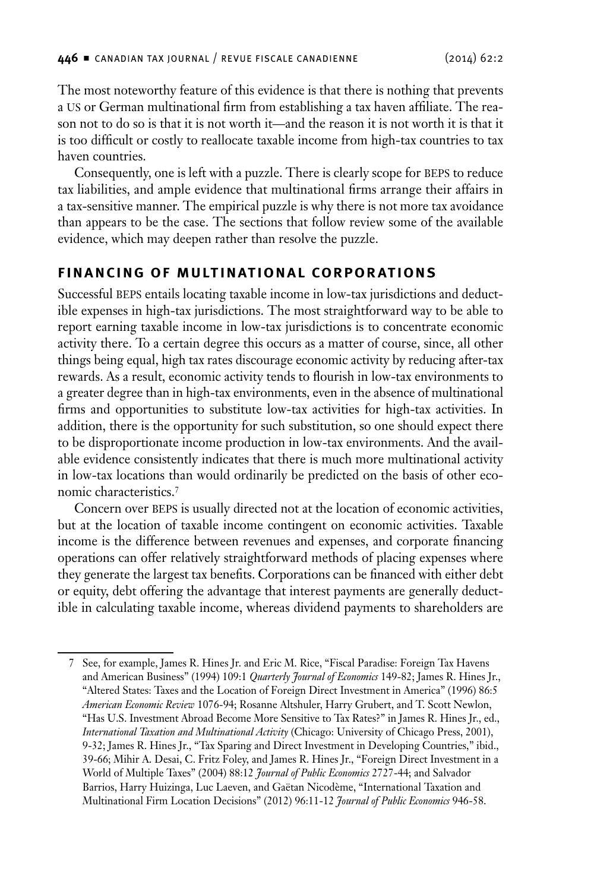<span id="page-4-0"></span>The most noteworthy feature of this evidence is that there is nothing that prevents a us or German multinational firm from establishing a tax haven affiliate. The reason not to do so is that it is not worth it—and the reason it is not worth it is that it is too difficult or costly to reallocate taxable income from high-tax countries to tax haven countries.

Consequently, one is left with a puzzle. There is clearly scope for BEPS to reduce tax liabilities, and ample evidence that multinational firms arrange their affairs in a tax-sensitive manner. The empirical puzzle is why there is not more tax avoidance than appears to be the case. The sections that follow review some of the available evidence, which may deepen rather than resolve the puzzle.

#### **Financing of Multinational Corporations**

Successful beps entails locating taxable income in low-tax jurisdictions and deductible expenses in high-tax jurisdictions. The most straightforward way to be able to report earning taxable income in low-tax jurisdictions is to concentrate economic activity there. To a certain degree this occurs as a matter of course, since, all other things being equal, high tax rates discourage economic activity by reducing after-tax rewards. As a result, economic activity tends to flourish in low-tax environments to a greater degree than in high-tax environments, even in the absence of multinational firms and opportunities to substitute low-tax activities for high-tax activities. In addition, there is the opportunity for such substitution, so one should expect there to be disproportionate income production in low-tax environments. And the available evidence consistently indicates that there is much more multinational activity in low-tax locations than would ordinarily be predicted on the basis of other economic characteristics.7

Concern over BEPS is usually directed not at the location of economic activities, but at the location of taxable income contingent on economic activities. Taxable income is the difference between revenues and expenses, and corporate financing operations can offer relatively straightforward methods of placing expenses where they generate the largest tax benefits. Corporations can be financed with either debt or equity, debt offering the advantage that interest payments are generally deductible in calculating taxable income, whereas dividend payments to shareholders are

<sup>7</sup> See, for example, James R. Hines Jr. and Eric M. Rice, "Fiscal Paradise: Foreign Tax Havens and American Business" (1994) 109:1 *Quarterly Journal of Economics* 149-82; James R. Hines Jr., "Altered States: Taxes and the Location of Foreign Direct Investment in America" (1996) 86:5 *American Economic Review* 1076-94; Rosanne Altshuler, Harry Grubert, and T. Scott Newlon, "Has U.S. Investment Abroad Become More Sensitive to Tax Rates?" in James R. Hines Jr., ed., *International Taxation and Multinational Activity* (Chicago: University of Chicago Press, 2001), 9-32; James R. Hines Jr., "Tax Sparing and Direct Investment in Developing Countries," ibid., 39-66; Mihir A. Desai, C. Fritz Foley, and James R. Hines Jr., "Foreign Direct Investment in a World of Multiple Taxes" (2004) 88:12 *Journal of Public Economics* 2727-44; and Salvador Barrios, Harry Huizinga, Luc Laeven, and Gaëtan Nicodème, "International Taxation and Multinational Firm Location Decisions" (2012) 96:11-12 *Journal of Public Economics* 946-58.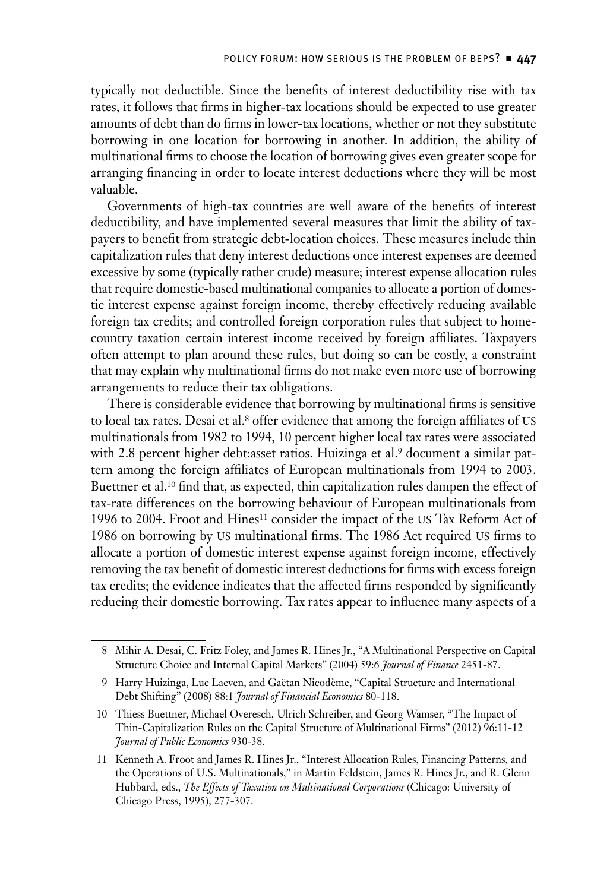typically not deductible. Since the benefits of interest deductibility rise with tax rates, it follows that firms in higher-tax locations should be expected to use greater amounts of debt than do firms in lower-tax locations, whether or not they substitute borrowing in one location for borrowing in another. In addition, the ability of multinational firms to choose the location of borrowing gives even greater scope for arranging financing in order to locate interest deductions where they will be most valuable.

Governments of high-tax countries are well aware of the benefits of interest deductibility, and have implemented several measures that limit the ability of taxpayers to benefit from strategic debt-location choices. These measures include thin capitalization rules that deny interest deductions once interest expenses are deemed excessive by some (typically rather crude) measure; interest expense allocation rules that require domestic-based multinational companies to allocate a portion of domestic interest expense against foreign income, thereby effectively reducing available foreign tax credits; and controlled foreign corporation rules that subject to homecountry taxation certain interest income received by foreign affiliates. Taxpayers often attempt to plan around these rules, but doing so can be costly, a constraint that may explain why multinational firms do not make even more use of borrowing arrangements to reduce their tax obligations.

There is considerable evidence that borrowing by multinational firms is sensitive to local tax rates. Desai et al.<sup>8</sup> offer evidence that among the foreign affiliates of US multinationals from 1982 to 1994, 10 percent higher local tax rates were associated with 2.8 percent higher debt:asset ratios. Huizinga et al.<sup>9</sup> document a similar pattern among the foreign affiliates of European multinationals from 1994 to 2003. Buettner et al.10 find that, as expected, thin capitalization rules dampen the effect of tax-rate differences on the borrowing behaviour of European multinationals from 1996 to 2004. Froot and Hines<sup>11</sup> consider the impact of the US Tax Reform Act of 1986 on borrowing by us multinational firms. The 1986 Act required us firms to allocate a portion of domestic interest expense against foreign income, effectively removing the tax benefit of domestic interest deductions for firms with excess foreign tax credits; the evidence indicates that the affected firms responded by significantly reducing their domestic borrowing. Tax rates appear to influence many aspects of a

<sup>8</sup> Mihir A. Desai, C. Fritz Foley, and James R. Hines Jr., "A Multinational Perspective on Capital Structure Choice and Internal Capital Markets" (2004) 59:6 *Journal of Finance* 2451-87.

<sup>9</sup> Harry Huizinga, Luc Laeven, and Gaëtan Nicodème, "Capital Structure and International Debt Shifting" (2008) 88:1 *Journal of Financial Economics* 80-118.

<sup>10</sup> Thiess Buettner, Michael Overesch, Ulrich Schreiber, and Georg Wamser, "The Impact of Thin-Capitalization Rules on the Capital Structure of Multinational Firms" (2012) 96:11-12 *Journal of Public Economics* 930-38.

<sup>11</sup> Kenneth A. Froot and James R. Hines Jr., "Interest Allocation Rules, Financing Patterns, and the Operations of U.S. Multinationals," in Martin Feldstein, James R. Hines Jr., and R. Glenn Hubbard, eds., *The Effects of Taxation on Multinational Corporations* (Chicago: University of Chicago Press, 1995), 277-307.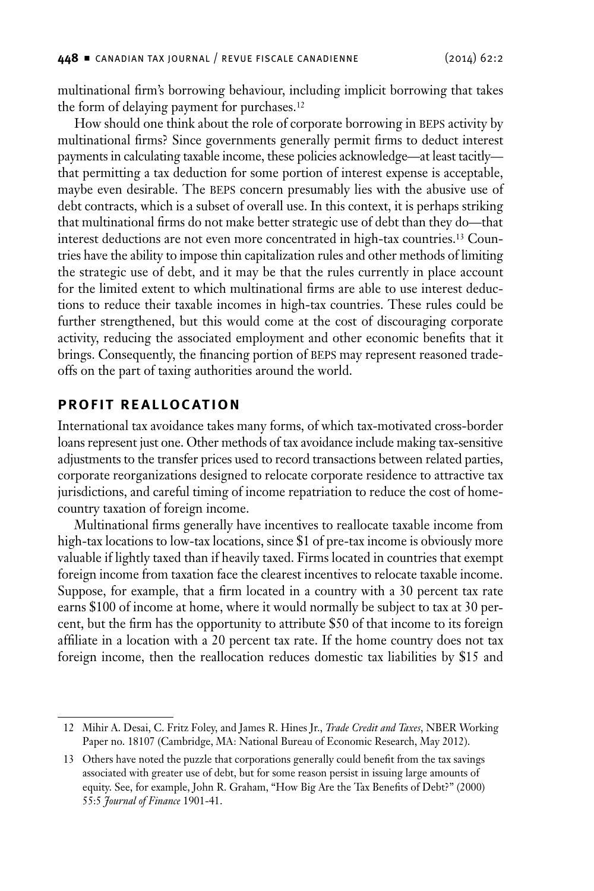<span id="page-6-0"></span>multinational firm's borrowing behaviour, including implicit borrowing that takes the form of delaying payment for purchases.<sup>12</sup>

How should one think about the role of corporate borrowing in BEPS activity by multinational firms? Since governments generally permit firms to deduct interest payments in calculating taxable income, these policies acknowledge—at least tacitly that permitting a tax deduction for some portion of interest expense is acceptable, maybe even desirable. The BEPS concern presumably lies with the abusive use of debt contracts, which is a subset of overall use. In this context, it is perhaps striking that multinational firms do not make better strategic use of debt than they do—that interest deductions are not even more concentrated in high-tax countries.13 Countries have the ability to impose thin capitalization rules and other methods of limiting the strategic use of debt, and it may be that the rules currently in place account for the limited extent to which multinational firms are able to use interest deductions to reduce their taxable incomes in high-tax countries. These rules could be further strengthened, but this would come at the cost of discouraging corporate activity, reducing the associated employment and other economic benefits that it brings. Consequently, the financing portion of BEPS may represent reasoned tradeoffs on the part of taxing authorities around the world.

#### **Profit Realloc ation**

International tax avoidance takes many forms, of which tax-motivated cross-border loans represent just one. Other methods of tax avoidance include making tax-sensitive adjustments to the transfer prices used to record transactions between related parties, corporate reorganizations designed to relocate corporate residence to attractive tax jurisdictions, and careful timing of income repatriation to reduce the cost of homecountry taxation of foreign income.

Multinational firms generally have incentives to reallocate taxable income from high-tax locations to low-tax locations, since \$1 of pre-tax income is obviously more valuable if lightly taxed than if heavily taxed. Firms located in countries that exempt foreign income from taxation face the clearest incentives to relocate taxable income. Suppose, for example, that a firm located in a country with a 30 percent tax rate earns \$100 of income at home, where it would normally be subject to tax at 30 percent, but the firm has the opportunity to attribute \$50 of that income to its foreign affiliate in a location with a 20 percent tax rate. If the home country does not tax foreign income, then the reallocation reduces domestic tax liabilities by \$15 and

<sup>12</sup> Mihir A. Desai, C. Fritz Foley, and James R. Hines Jr., *Trade Credit and Taxes*, NBER Working Paper no. 18107 (Cambridge, MA: National Bureau of Economic Research, May 2012).

<sup>13</sup> Others have noted the puzzle that corporations generally could benefit from the tax savings associated with greater use of debt, but for some reason persist in issuing large amounts of equity. See, for example, John R. Graham, "How Big Are the Tax Benefits of Debt?" (2000) 55:5 *Journal of Finance* 1901-41.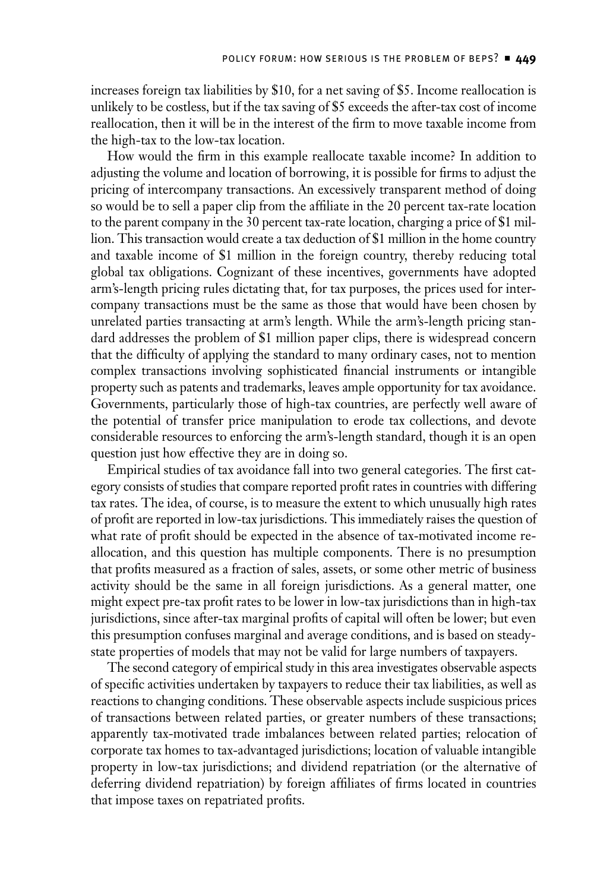increases foreign tax liabilities by \$10, for a net saving of \$5. Income reallocation is unlikely to be costless, but if the tax saving of \$5 exceeds the after-tax cost of income reallocation, then it will be in the interest of the firm to move taxable income from the high-tax to the low-tax location.

How would the firm in this example reallocate taxable income? In addition to adjusting the volume and location of borrowing, it is possible for firms to adjust the pricing of intercompany transactions. An excessively transparent method of doing so would be to sell a paper clip from the affiliate in the 20 percent tax-rate location to the parent company in the 30 percent tax-rate location, charging a price of \$1 million. This transaction would create a tax deduction of \$1 million in the home country and taxable income of \$1 million in the foreign country, thereby reducing total global tax obligations. Cognizant of these incentives, governments have adopted arm's-length pricing rules dictating that, for tax purposes, the prices used for intercompany transactions must be the same as those that would have been chosen by unrelated parties transacting at arm's length. While the arm's-length pricing standard addresses the problem of \$1 million paper clips, there is widespread concern that the difficulty of applying the standard to many ordinary cases, not to mention complex transactions involving sophisticated financial instruments or intangible property such as patents and trademarks, leaves ample opportunity for tax avoidance. Governments, particularly those of high-tax countries, are perfectly well aware of the potential of transfer price manipulation to erode tax collections, and devote considerable resources to enforcing the arm's-length standard, though it is an open question just how effective they are in doing so.

Empirical studies of tax avoidance fall into two general categories. The first category consists of studies that compare reported profit rates in countries with differing tax rates. The idea, of course, is to measure the extent to which unusually high rates of profit are reported in low-tax jurisdictions. This immediately raises the question of what rate of profit should be expected in the absence of tax-motivated income reallocation, and this question has multiple components. There is no presumption that profits measured as a fraction of sales, assets, or some other metric of business activity should be the same in all foreign jurisdictions. As a general matter, one might expect pre-tax profit rates to be lower in low-tax jurisdictions than in high-tax jurisdictions, since after-tax marginal profits of capital will often be lower; but even this presumption confuses marginal and average conditions, and is based on steadystate properties of models that may not be valid for large numbers of taxpayers.

The second category of empirical study in this area investigates observable aspects of specific activities undertaken by taxpayers to reduce their tax liabilities, as well as reactions to changing conditions. These observable aspects include suspicious prices of transactions between related parties, or greater numbers of these transactions; apparently tax-motivated trade imbalances between related parties; relocation of corporate tax homes to tax-advantaged jurisdictions; location of valuable intangible property in low-tax jurisdictions; and dividend repatriation (or the alternative of deferring dividend repatriation) by foreign affiliates of firms located in countries that impose taxes on repatriated profits.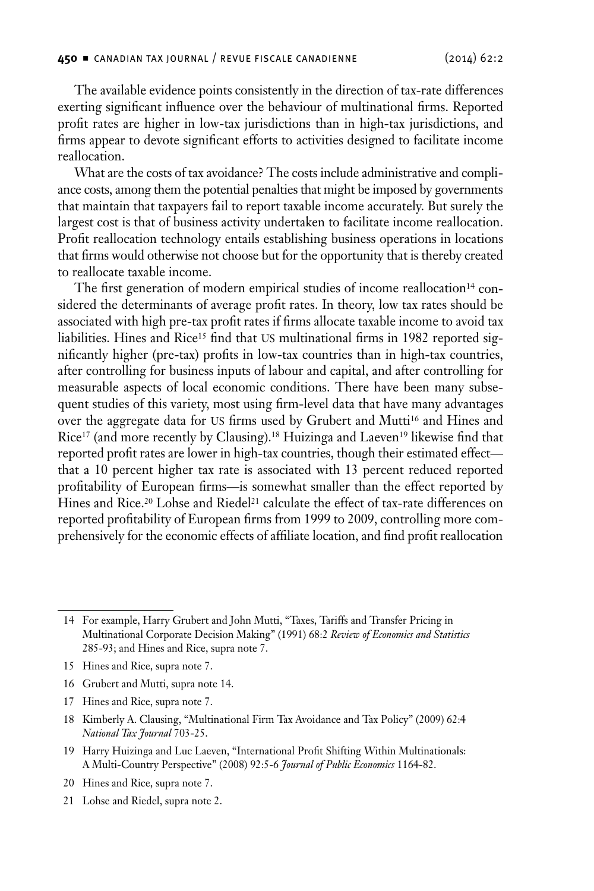The available evidence points consistently in the direction of tax-rate differences exerting significant influence over the behaviour of multinational firms. Reported profit rates are higher in low-tax jurisdictions than in high-tax jurisdictions, and firms appear to devote significant efforts to activities designed to facilitate income reallocation.

What are the costs of tax avoidance? The costs include administrative and compliance costs, among them the potential penalties that might be imposed by governments that maintain that taxpayers fail to report taxable income accurately. But surely the largest cost is that of business activity undertaken to facilitate income reallocation. Profit reallocation technology entails establishing business operations in locations that firms would otherwise not choose but for the opportunity that is thereby created to reallocate taxable income.

The first generation of modern empirical studies of income reallocation<sup>14</sup> considered the determinants of average profit rates. In theory, low tax rates should be associated with high pre-tax profit rates if firms allocate taxable income to avoid tax liabilities. Hines and Rice<sup>15</sup> find that US multinational firms in 1982 reported significantly higher (pre-tax) profits in low-tax countries than in high-tax countries, after controlling for business inputs of labour and capital, and after controlling for measurable aspects of local economic conditions. There have been many subsequent studies of this variety, most using firm-level data that have many advantages over the aggregate data for US firms used by Grubert and Mutti<sup>16</sup> and Hines and Rice17 (and more recently by Clausing).18 Huizinga and Laeven19 likewise find that reported profit rates are lower in high-tax countries, though their estimated effect that a 10 percent higher tax rate is associated with 13 percent reduced reported profitability of European firms—is somewhat smaller than the effect reported by Hines and Rice.<sup>20</sup> Lohse and Riedel<sup>21</sup> calculate the effect of tax-rate differences on reported profitability of European firms from 1999 to 2009, controlling more comprehensively for the economic effects of affiliate location, and find profit reallocation

19 Harry Huizinga and Luc Laeven, "International Profit Shifting Within Multinationals: A Multi-Country Perspective" (2008) 92:5-6 *Journal of Public Economics* 1164-82.

21 Lohse and Riedel, supra note 2.

<sup>14</sup> For example, Harry Grubert and John Mutti, "Taxes, Tariffs and Transfer Pricing in Multinational Corporate Decision Making" (1991) 68:2 *Review of Economics and Statistics* 285-93; and Hines and Rice, supra note 7.

<sup>15</sup> Hines and Rice, supra note 7.

<sup>16</sup> Grubert and Mutti, supra note 14.

<sup>17</sup> Hines and Rice, supra note 7.

<sup>18</sup> Kimberly A. Clausing, "Multinational Firm Tax Avoidance and Tax Policy" (2009) 62:4 *National Tax Journal* 703-25.

<sup>20</sup> Hines and Rice, supra note 7.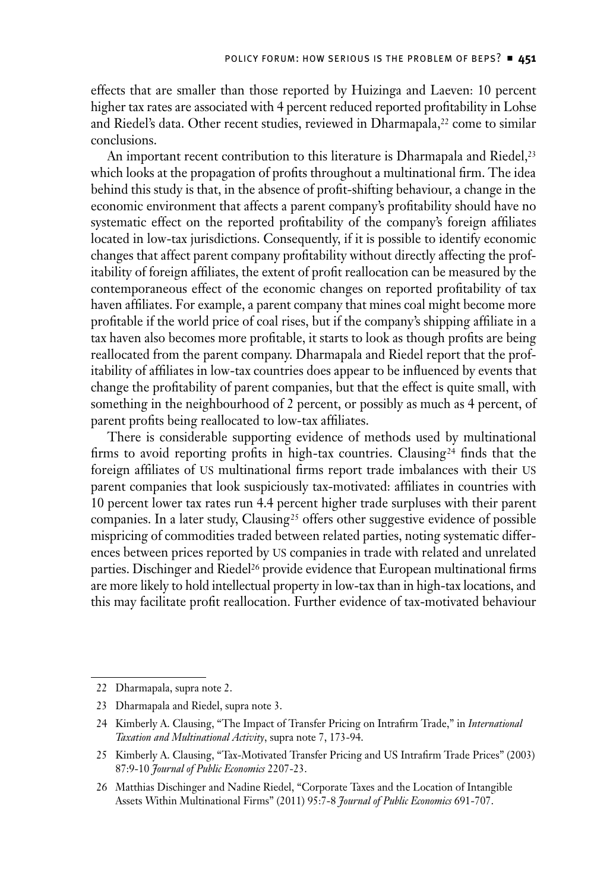effects that are smaller than those reported by Huizinga and Laeven: 10 percent higher tax rates are associated with 4 percent reduced reported profitability in Lohse and Riedel's data. Other recent studies, reviewed in Dharmapala,<sup>22</sup> come to similar conclusions.

An important recent contribution to this literature is Dharmapala and Riedel,<sup>23</sup> which looks at the propagation of profits throughout a multinational firm. The idea behind this study is that, in the absence of profit-shifting behaviour, a change in the economic environment that affects a parent company's profitability should have no systematic effect on the reported profitability of the company's foreign affiliates located in low-tax jurisdictions. Consequently, if it is possible to identify economic changes that affect parent company profitability without directly affecting the profitability of foreign affiliates, the extent of profit reallocation can be measured by the contemporaneous effect of the economic changes on reported profitability of tax haven affiliates. For example, a parent company that mines coal might become more profitable if the world price of coal rises, but if the company's shipping affiliate in a tax haven also becomes more profitable, it starts to look as though profits are being reallocated from the parent company. Dharmapala and Riedel report that the profitability of affiliates in low-tax countries does appear to be influenced by events that change the profitability of parent companies, but that the effect is quite small, with something in the neighbourhood of 2 percent, or possibly as much as 4 percent, of parent profits being reallocated to low-tax affiliates.

There is considerable supporting evidence of methods used by multinational firms to avoid reporting profits in high-tax countries. Clausing<sup>24</sup> finds that the foreign affiliates of US multinational firms report trade imbalances with their US parent companies that look suspiciously tax-motivated: affiliates in countries with 10 percent lower tax rates run 4.4 percent higher trade surpluses with their parent companies. In a later study, Clausing<sup>25</sup> offers other suggestive evidence of possible mispricing of commodities traded between related parties, noting systematic differences between prices reported by us companies in trade with related and unrelated parties. Dischinger and Riedel<sup>26</sup> provide evidence that European multinational firms are more likely to hold intellectual property in low-tax than in high-tax locations, and this may facilitate profit reallocation. Further evidence of tax-motivated behaviour

<sup>22</sup> Dharmapala, supra note 2.

<sup>23</sup> Dharmapala and Riedel, supra note 3.

<sup>24</sup> Kimberly A. Clausing, "The Impact of Transfer Pricing on Intrafirm Trade," in *International Taxation and Multinational Activity*, supra note 7, 173-94.

<sup>25</sup> Kimberly A. Clausing, "Tax-Motivated Transfer Pricing and US Intrafirm Trade Prices" (2003) 87:9-10 *Journal of Public Economics* 2207-23.

<sup>26</sup> Matthias Dischinger and Nadine Riedel, "Corporate Taxes and the Location of Intangible Assets Within Multinational Firms" (2011) 95:7-8 *Journal of Public Economics* 691-707.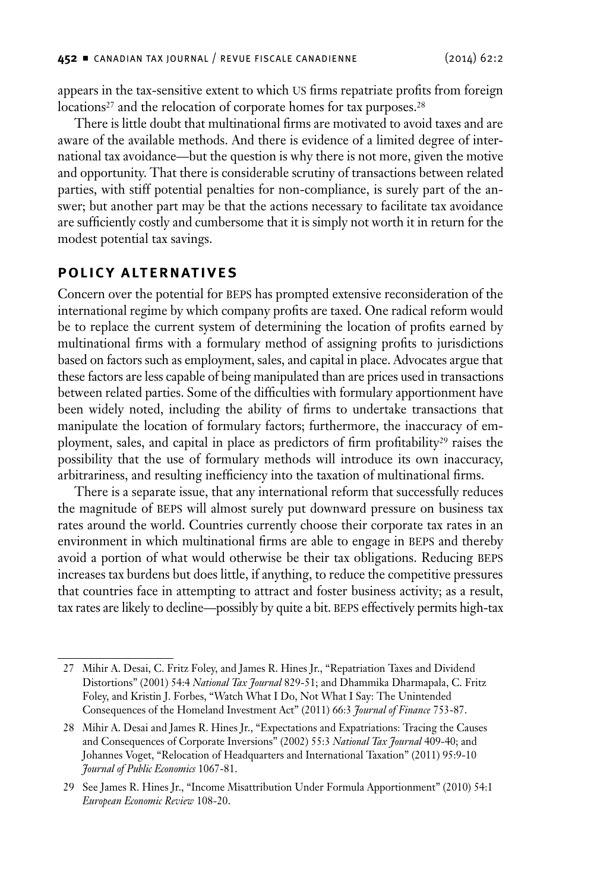<span id="page-10-0"></span>appears in the tax-sensitive extent to which us firms repatriate profits from foreign locations<sup>27</sup> and the relocation of corporate homes for tax purposes.<sup>28</sup>

There is little doubt that multinational firms are motivated to avoid taxes and are aware of the available methods. And there is evidence of a limited degree of international tax avoidance—but the question is why there is not more, given the motive and opportunity. That there is considerable scrutiny of transactions between related parties, with stiff potential penalties for non-compliance, is surely part of the answer; but another part may be that the actions necessary to facilitate tax avoidance are sufficiently costly and cumbersome that it is simply not worth it in return for the modest potential tax savings.

#### **Polic y Alternatives**

Concern over the potential for BEPS has prompted extensive reconsideration of the international regime by which company profits are taxed. One radical reform would be to replace the current system of determining the location of profits earned by multinational firms with a formulary method of assigning profits to jurisdictions based on factors such as employment, sales, and capital in place. Advocates argue that these factors are less capable of being manipulated than are prices used in transactions between related parties. Some of the difficulties with formulary apportionment have been widely noted, including the ability of firms to undertake transactions that manipulate the location of formulary factors; furthermore, the inaccuracy of employment, sales, and capital in place as predictors of firm profitability<sup>29</sup> raises the possibility that the use of formulary methods will introduce its own inaccuracy, arbitrariness, and resulting inefficiency into the taxation of multinational firms.

There is a separate issue, that any international reform that successfully reduces the magnitude of BEPS will almost surely put downward pressure on business tax rates around the world. Countries currently choose their corporate tax rates in an environment in which multinational firms are able to engage in BEPS and thereby avoid a portion of what would otherwise be their tax obligations. Reducing beps increases tax burdens but does little, if anything, to reduce the competitive pressures that countries face in attempting to attract and foster business activity; as a result, tax rates are likely to decline—possibly by quite a bit. BEPS effectively permits high-tax

<sup>27</sup> Mihir A. Desai, C. Fritz Foley, and James R. Hines Jr., "Repatriation Taxes and Dividend Distortions" (2001) 54:4 *National Tax Journal* 829-51; and Dhammika Dharmapala, C. Fritz Foley, and Kristin J. Forbes, "Watch What I Do, Not What I Say: The Unintended Consequences of the Homeland Investment Act" (2011) 66:3 *Journal of Finance* 753-87.

<sup>28</sup> Mihir A. Desai and James R. Hines Jr., "Expectations and Expatriations: Tracing the Causes and Consequences of Corporate Inversions" (2002) 55:3 *National Tax Journal* 409-40; and Johannes Voget, "Relocation of Headquarters and International Taxation" (2011) 95:9-10 *Journal of Public Economics* 1067-81.

<sup>29</sup> See James R. Hines Jr., "Income Misattribution Under Formula Apportionment" (2010) 54:1 *European Economic Review* 108-20.